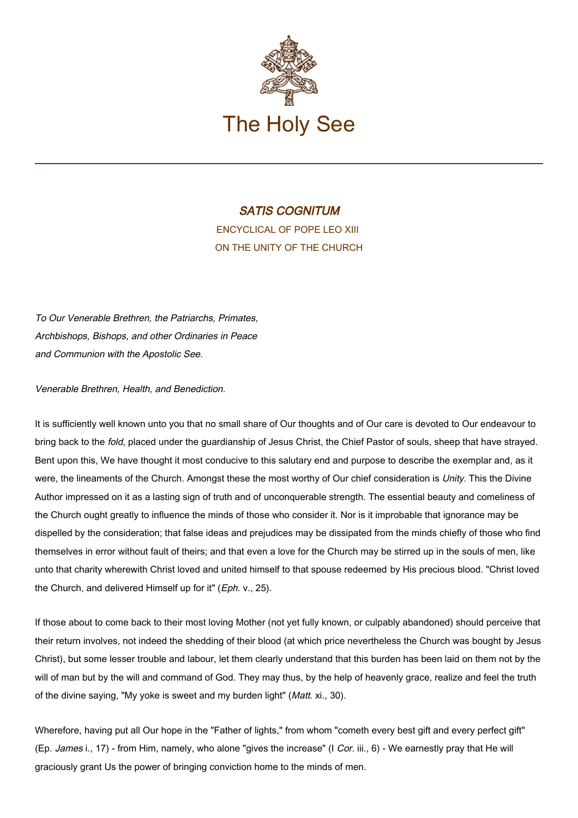

# SATIS COGNITUM

ENCYCLICAL OF POPE LEO XIII ON THE UNITY OF THE CHURCH

To Our Venerable Brethren, the Patriarchs, Primates, Archbishops, Bishops, and other Ordinaries in Peace and Communion with the Apostolic See.

Venerable Brethren, Health, and Benediction.

It is sufficiently well known unto you that no small share of Our thoughts and of Our care is devoted to Our endeavour to bring back to the fold, placed under the guardianship of Jesus Christ, the Chief Pastor of souls, sheep that have strayed. Bent upon this, We have thought it most conducive to this salutary end and purpose to describe the exemplar and, as it were, the lineaments of the Church. Amongst these the most worthy of Our chief consideration is Unity. This the Divine Author impressed on it as a lasting sign of truth and of unconquerable strength. The essential beauty and comeliness of the Church ought greatly to influence the minds of those who consider it. Nor is it improbable that ignorance may be dispelled by the consideration; that false ideas and prejudices may be dissipated from the minds chiefly of those who find themselves in error without fault of theirs; and that even a love for the Church may be stirred up in the souls of men, like unto that charity wherewith Christ loved and united himself to that spouse redeemed by His precious blood. "Christ loved the Church, and delivered Himself up for it" (Eph. v., 25).

If those about to come back to their most loving Mother (not yet fully known, or culpably abandoned) should perceive that their return involves, not indeed the shedding of their blood (at which price nevertheless the Church was bought by Jesus Christ), but some lesser trouble and labour, let them clearly understand that this burden has been laid on them not by the will of man but by the will and command of God. They may thus, by the help of heavenly grace, realize and feel the truth of the divine saying, "My yoke is sweet and my burden light" (Matt. xi., 30).

Wherefore, having put all Our hope in the "Father of lights," from whom "cometh every best gift and every perfect gift" (Ep. James i., 17) - from Him, namely, who alone "gives the increase" (I Cor. iii., 6) - We earnestly pray that He will graciously grant Us the power of bringing conviction home to the minds of men.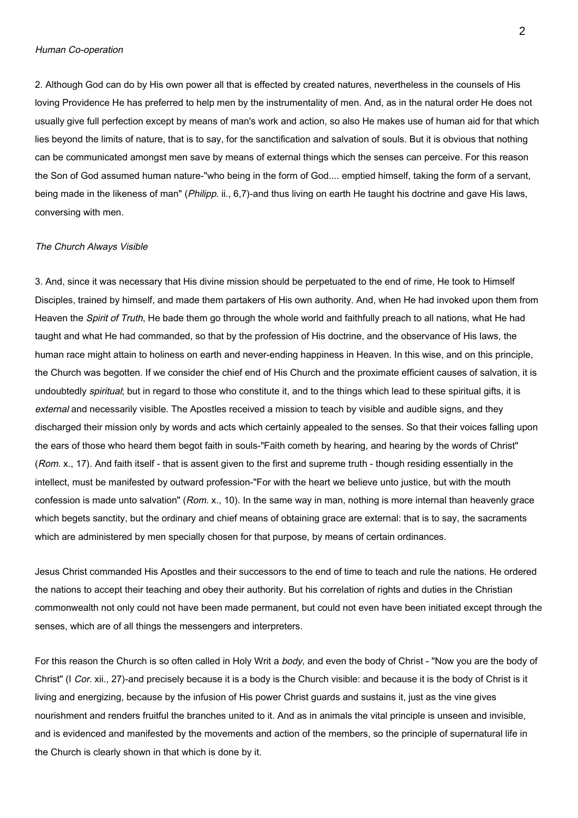2. Although God can do by His own power all that is effected by created natures, nevertheless in the counsels of His loving Providence He has preferred to help men by the instrumentality of men. And, as in the natural order He does not usually give full perfection except by means of man's work and action, so also He makes use of human aid for that which lies beyond the limits of nature, that is to say, for the sanctification and salvation of souls. But it is obvious that nothing can be communicated amongst men save by means of external things which the senses can perceive. For this reason the Son of God assumed human nature-"who being in the form of God.... emptied himself, taking the form of a servant, being made in the likeness of man" (Philipp. ii., 6,7)-and thus living on earth He taught his doctrine and gave His laws, conversing with men.

#### The Church Always Visible

3. And, since it was necessary that His divine mission should be perpetuated to the end of rime, He took to Himself Disciples, trained by himself, and made them partakers of His own authority. And, when He had invoked upon them from Heaven the Spirit of Truth, He bade them go through the whole world and faithfully preach to all nations, what He had taught and what He had commanded, so that by the profession of His doctrine, and the observance of His laws, the human race might attain to holiness on earth and never-ending happiness in Heaven. In this wise, and on this principle, the Church was begotten. If we consider the chief end of His Church and the proximate efficient causes of salvation, it is undoubtedly *spiritual*; but in regard to those who constitute it, and to the things which lead to these spiritual gifts, it is external and necessarily visible. The Apostles received a mission to teach by visible and audible signs, and they discharged their mission only by words and acts which certainly appealed to the senses. So that their voices falling upon the ears of those who heard them begot faith in souls-"Faith cometh by hearing, and hearing by the words of Christ" (Rom. x., 17). And faith itself - that is assent given to the first and supreme truth - though residing essentially in the intellect, must be manifested by outward profession-"For with the heart we believe unto justice, but with the mouth confession is made unto salvation" ( $Rom. x$ , 10). In the same way in man, nothing is more internal than heavenly grace which begets sanctity, but the ordinary and chief means of obtaining grace are external: that is to say, the sacraments which are administered by men specially chosen for that purpose, by means of certain ordinances.

Jesus Christ commanded His Apostles and their successors to the end of time to teach and rule the nations. He ordered the nations to accept their teaching and obey their authority. But his correlation of rights and duties in the Christian commonwealth not only could not have been made permanent, but could not even have been initiated except through the senses, which are of all things the messengers and interpreters.

For this reason the Church is so often called in Holy Writ a body, and even the body of Christ - "Now you are the body of Christ" (I Cor. xii., 27)-and precisely because it is a body is the Church visible: and because it is the body of Christ is it living and energizing, because by the infusion of His power Christ guards and sustains it, just as the vine gives nourishment and renders fruitful the branches united to it. And as in animals the vital principle is unseen and invisible, and is evidenced and manifested by the movements and action of the members, so the principle of supernatural life in the Church is clearly shown in that which is done by it.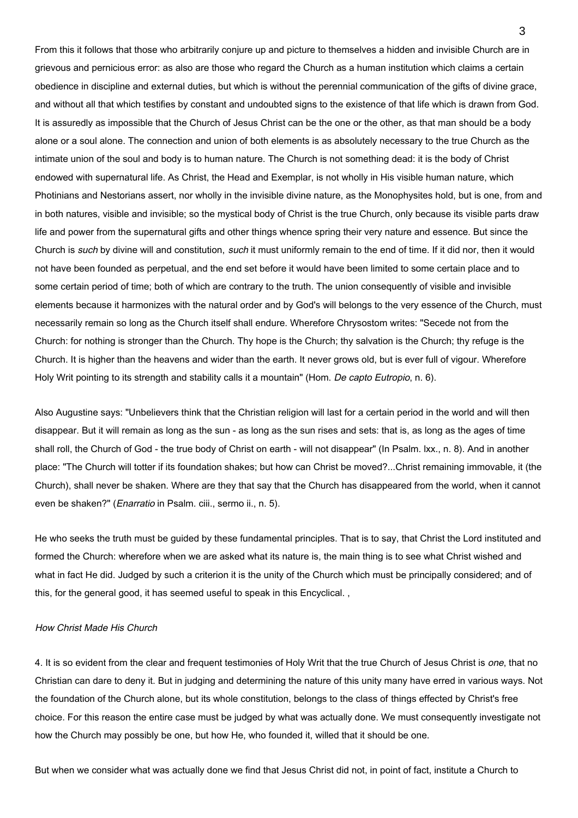From this it follows that those who arbitrarily conjure up and picture to themselves a hidden and invisible Church are in grievous and pernicious error: as also are those who regard the Church as a human institution which claims a certain obedience in discipline and external duties, but which is without the perennial communication of the gifts of divine grace, and without all that which testifies by constant and undoubted signs to the existence of that life which is drawn from God. It is assuredly as impossible that the Church of Jesus Christ can be the one or the other, as that man should be a body alone or a soul alone. The connection and union of both elements is as absolutely necessary to the true Church as the intimate union of the soul and body is to human nature. The Church is not something dead: it is the body of Christ endowed with supernatural life. As Christ, the Head and Exemplar, is not wholly in His visible human nature, which Photinians and Nestorians assert, nor wholly in the invisible divine nature, as the Monophysites hold, but is one, from and in both natures, visible and invisible; so the mystical body of Christ is the true Church, only because its visible parts draw life and power from the supernatural gifts and other things whence spring their very nature and essence. But since the Church is such by divine will and constitution, such it must uniformly remain to the end of time. If it did nor, then it would not have been founded as perpetual, and the end set before it would have been limited to some certain place and to some certain period of time; both of which are contrary to the truth. The union consequently of visible and invisible elements because it harmonizes with the natural order and by God's will belongs to the very essence of the Church, must necessarily remain so long as the Church itself shall endure. Wherefore Chrysostom writes: "Secede not from the Church: for nothing is stronger than the Church. Thy hope is the Church; thy salvation is the Church; thy refuge is the Church. It is higher than the heavens and wider than the earth. It never grows old, but is ever full of vigour. Wherefore Holy Writ pointing to its strength and stability calls it a mountain" (Hom. De capto Eutropio, n. 6).

Also Augustine says: "Unbelievers think that the Christian religion will last for a certain period in the world and will then disappear. But it will remain as long as the sun - as long as the sun rises and sets: that is, as long as the ages of time shall roll, the Church of God - the true body of Christ on earth - will not disappear" (In Psalm. lxx., n. 8). And in another place: "The Church will totter if its foundation shakes; but how can Christ be moved?...Christ remaining immovable, it (the Church), shall never be shaken. Where are they that say that the Church has disappeared from the world, when it cannot even be shaken?" (*Enarratio* in Psalm. ciii., sermo ii., n. 5).

He who seeks the truth must be guided by these fundamental principles. That is to say, that Christ the Lord instituted and formed the Church: wherefore when we are asked what its nature is, the main thing is to see what Christ wished and what in fact He did. Judged by such a criterion it is the unity of the Church which must be principally considered; and of this, for the general good, it has seemed useful to speak in this Encyclical. ,

# How Christ Made His Church

4. It is so evident from the clear and frequent testimonies of Holy Writ that the true Church of Jesus Christ is one, that no Christian can dare to deny it. But in judging and determining the nature of this unity many have erred in various ways. Not the foundation of the Church alone, but its whole constitution, belongs to the class of things effected by Christ's free choice. For this reason the entire case must be judged by what was actually done. We must consequently investigate not how the Church may possibly be one, but how He, who founded it, willed that it should be one.

But when we consider what was actually done we find that Jesus Christ did not, in point of fact, institute a Church to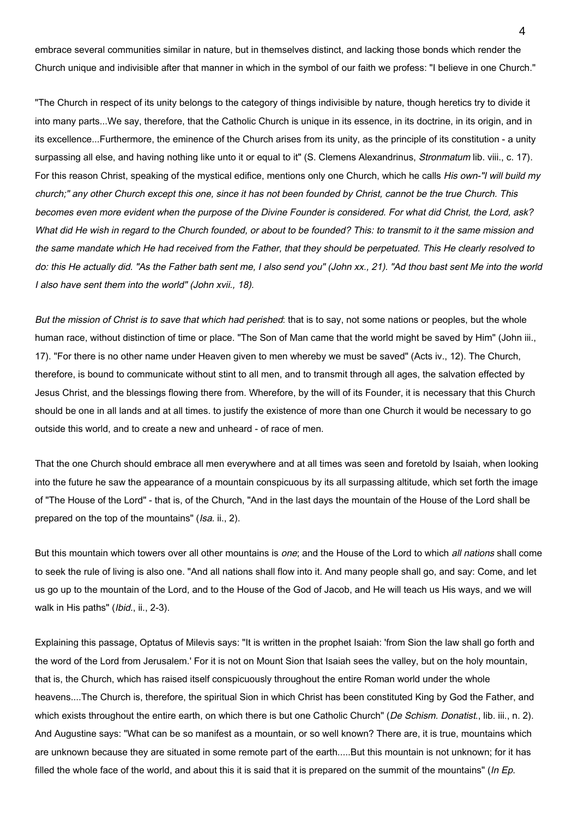embrace several communities similar in nature, but in themselves distinct, and lacking those bonds which render the Church unique and indivisible after that manner in which in the symbol of our faith we profess: "I believe in one Church."

"The Church in respect of its unity belongs to the category of things indivisible by nature, though heretics try to divide it into many parts...We say, therefore, that the Catholic Church is unique in its essence, in its doctrine, in its origin, and in its excellence...Furthermore, the eminence of the Church arises from its unity, as the principle of its constitution - a unity surpassing all else, and having nothing like unto it or equal to it" (S. Clemens Alexandrinus, Stronmatum lib. viii., c. 17). For this reason Christ, speaking of the mystical edifice, mentions only one Church, which he calls His own-"I will build my church;" any other Church except this one, since it has not been founded by Christ, cannot be the true Church. This becomes even more evident when the purpose of the Divine Founder is considered. For what did Christ, the Lord, ask? What did He wish in regard to the Church founded, or about to be founded? This: to transmit to it the same mission and the same mandate which He had received from the Father, that they should be perpetuated. This He clearly resolved to do: this He actually did. "As the Father bath sent me, I also send you" (John xx., 21). "Ad thou bast sent Me into the world I also have sent them into the world" (John xvii., 18).

But the mission of Christ is to save that which had perished: that is to say, not some nations or peoples, but the whole human race, without distinction of time or place. "The Son of Man came that the world might be saved by Him" (John iii., 17). "For there is no other name under Heaven given to men whereby we must be saved" (Acts iv., 12). The Church, therefore, is bound to communicate without stint to all men, and to transmit through all ages, the salvation effected by Jesus Christ, and the blessings flowing there from. Wherefore, by the will of its Founder, it is necessary that this Church should be one in all lands and at all times. to justify the existence of more than one Church it would be necessary to go outside this world, and to create a new and unheard - of race of men.

That the one Church should embrace all men everywhere and at all times was seen and foretold by Isaiah, when looking into the future he saw the appearance of a mountain conspicuous by its all surpassing altitude, which set forth the image of "The House of the Lord" - that is, of the Church, "And in the last days the mountain of the House of the Lord shall be prepared on the top of the mountains" (Isa. ii., 2).

But this mountain which towers over all other mountains is one; and the House of the Lord to which all nations shall come to seek the rule of living is also one. "And all nations shall flow into it. And many people shall go, and say: Come, and let us go up to the mountain of the Lord, and to the House of the God of Jacob, and He will teach us His ways, and we will walk in His paths" (Ibid., ii., 2-3).

Explaining this passage, Optatus of Milevis says: "It is written in the prophet Isaiah: 'from Sion the law shall go forth and the word of the Lord from Jerusalem.' For it is not on Mount Sion that Isaiah sees the valley, but on the holy mountain, that is, the Church, which has raised itself conspicuously throughout the entire Roman world under the whole heavens....The Church is, therefore, the spiritual Sion in which Christ has been constituted King by God the Father, and which exists throughout the entire earth, on which there is but one Catholic Church" (De Schism. Donatist., lib. iii., n. 2). And Augustine says: "What can be so manifest as a mountain, or so well known? There are, it is true, mountains which are unknown because they are situated in some remote part of the earth.....But this mountain is not unknown; for it has filled the whole face of the world, and about this it is said that it is prepared on the summit of the mountains" (In Ep.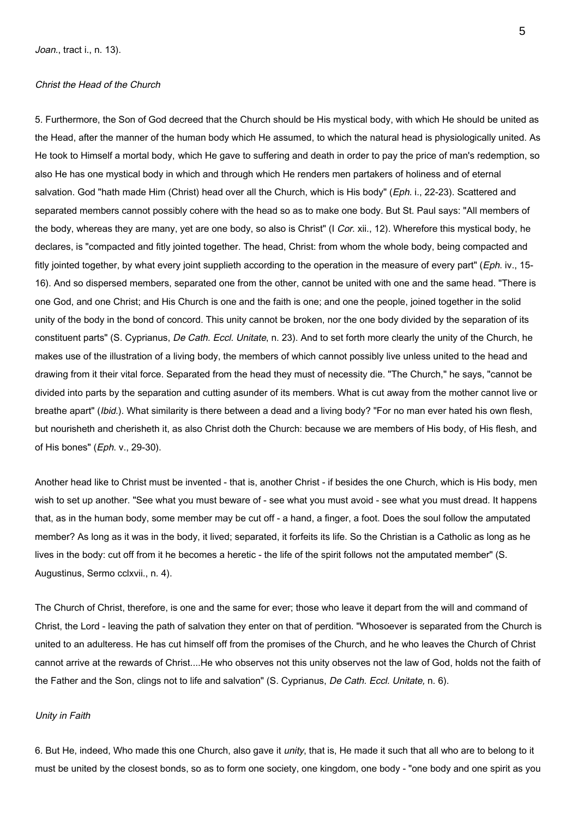# Christ the Head of the Church

5. Furthermore, the Son of God decreed that the Church should be His mystical body, with which He should be united as the Head, after the manner of the human body which He assumed, to which the natural head is physiologically united. As He took to Himself a mortal body, which He gave to suffering and death in order to pay the price of man's redemption, so also He has one mystical body in which and through which He renders men partakers of holiness and of eternal salvation. God "hath made Him (Christ) head over all the Church, which is His body" (Eph. i., 22-23). Scattered and separated members cannot possibly cohere with the head so as to make one body. But St. Paul says: "All members of the body, whereas they are many, yet are one body, so also is Christ" (I Cor. xii., 12). Wherefore this mystical body, he declares, is "compacted and fitly jointed together. The head, Christ: from whom the whole body, being compacted and fitly jointed together, by what every joint supplieth according to the operation in the measure of every part" (Eph. iv., 15-16). And so dispersed members, separated one from the other, cannot be united with one and the same head. "There is one God, and one Christ; and His Church is one and the faith is one; and one the people, joined together in the solid unity of the body in the bond of concord. This unity cannot be broken, nor the one body divided by the separation of its constituent parts" (S. Cyprianus, *De Cath. Eccl. Unitate*, n. 23). And to set forth more clearly the unity of the Church, he makes use of the illustration of a living body, the members of which cannot possibly live unless united to the head and drawing from it their vital force. Separated from the head they must of necessity die. "The Church," he says, "cannot be divided into parts by the separation and cutting asunder of its members. What is cut away from the mother cannot live or breathe apart" (*Ibid.*). What similarity is there between a dead and a living body? "For no man ever hated his own flesh, but nourisheth and cherisheth it, as also Christ doth the Church: because we are members of His body, of His flesh, and of His bones" (Eph. v., 29-30).

Another head like to Christ must be invented - that is, another Christ - if besides the one Church, which is His body, men wish to set up another. "See what you must beware of - see what you must avoid - see what you must dread. It happens that, as in the human body, some member may be cut off - a hand, a finger, a foot. Does the soul follow the amputated member? As long as it was in the body, it lived; separated, it forfeits its life. So the Christian is a Catholic as long as he lives in the body: cut off from it he becomes a heretic - the life of the spirit follows not the amputated member" (S. Augustinus, Sermo cclxvii., n. 4).

The Church of Christ, therefore, is one and the same for ever; those who leave it depart from the will and command of Christ, the Lord - leaving the path of salvation they enter on that of perdition. "Whosoever is separated from the Church is united to an adulteress. He has cut himself off from the promises of the Church, and he who leaves the Church of Christ cannot arrive at the rewards of Christ....He who observes not this unity observes not the law of God, holds not the faith of the Father and the Son, clings not to life and salvation" (S. Cyprianus, De Cath. Eccl. Unitate, n. 6).

#### Unity in Faith

6. But He, indeed, Who made this one Church, also gave it *unity*, that is, He made it such that all who are to belong to it must be united by the closest bonds, so as to form one society, one kingdom, one body - "one body and one spirit as you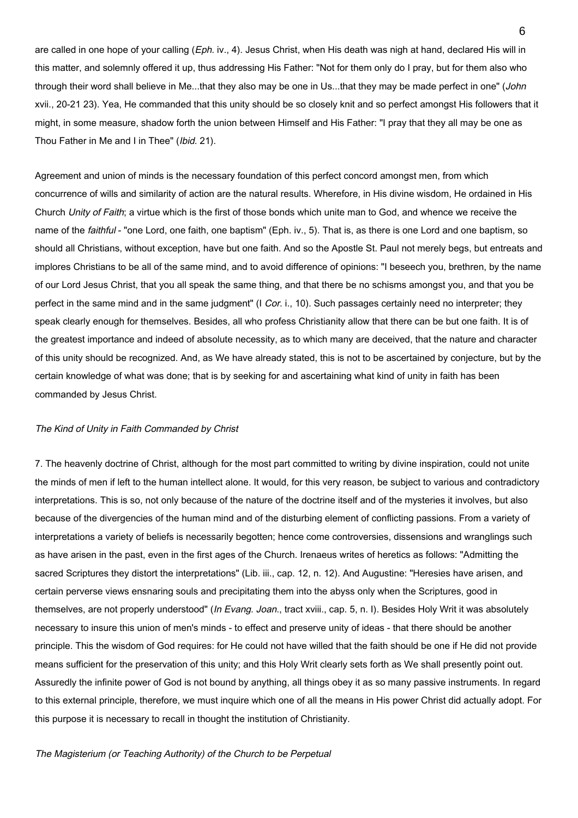are called in one hope of your calling (Eph. iv., 4). Jesus Christ, when His death was nigh at hand, declared His will in this matter, and solemnly offered it up, thus addressing His Father: "Not for them only do I pray, but for them also who through their word shall believe in Me...that they also may be one in Us...that they may be made perfect in one" (John xvii., 20-21 23). Yea, He commanded that this unity should be so closely knit and so perfect amongst His followers that it might, in some measure, shadow forth the union between Himself and His Father: "I pray that they all may be one as Thou Father in Me and I in Thee" (Ibid. 21).

Agreement and union of minds is the necessary foundation of this perfect concord amongst men, from which concurrence of wills and similarity of action are the natural results. Wherefore, in His divine wisdom, He ordained in His Church Unity of Faith; a virtue which is the first of those bonds which unite man to God, and whence we receive the name of the *faithful* - "one Lord, one faith, one baptism" (Eph. iv., 5). That is, as there is one Lord and one baptism, so should all Christians, without exception, have but one faith. And so the Apostle St. Paul not merely begs, but entreats and implores Christians to be all of the same mind, and to avoid difference of opinions: "I beseech you, brethren, by the name of our Lord Jesus Christ, that you all speak the same thing, and that there be no schisms amongst you, and that you be perfect in the same mind and in the same judgment" (I Cor. i., 10). Such passages certainly need no interpreter; they speak clearly enough for themselves. Besides, all who profess Christianity allow that there can be but one faith. It is of the greatest importance and indeed of absolute necessity, as to which many are deceived, that the nature and character of this unity should be recognized. And, as We have already stated, this is not to be ascertained by conjecture, but by the certain knowledge of what was done; that is by seeking for and ascertaining what kind of unity in faith has been commanded by Jesus Christ.

# The Kind of Unity in Faith Commanded by Christ

7. The heavenly doctrine of Christ, although for the most part committed to writing by divine inspiration, could not unite the minds of men if left to the human intellect alone. It would, for this very reason, be subject to various and contradictory interpretations. This is so, not only because of the nature of the doctrine itself and of the mysteries it involves, but also because of the divergencies of the human mind and of the disturbing element of conflicting passions. From a variety of interpretations a variety of beliefs is necessarily begotten; hence come controversies, dissensions and wranglings such as have arisen in the past, even in the first ages of the Church. Irenaeus writes of heretics as follows: "Admitting the sacred Scriptures they distort the interpretations" (Lib. iii., cap. 12, n. 12). And Augustine: "Heresies have arisen, and certain perverse views ensnaring souls and precipitating them into the abyss only when the Scriptures, good in themselves, are not properly understood" (In Evang. Joan., tract xviii., cap. 5, n. I). Besides Holy Writ it was absolutely necessary to insure this union of men's minds - to effect and preserve unity of ideas - that there should be another principle. This the wisdom of God requires: for He could not have willed that the faith should be one if He did not provide means sufficient for the preservation of this unity; and this Holy Writ clearly sets forth as We shall presently point out. Assuredly the infinite power of God is not bound by anything, all things obey it as so many passive instruments. In regard to this external principle, therefore, we must inquire which one of all the means in His power Christ did actually adopt. For this purpose it is necessary to recall in thought the institution of Christianity.

# The Magisterium (or Teaching Authority) of the Church to be Perpetual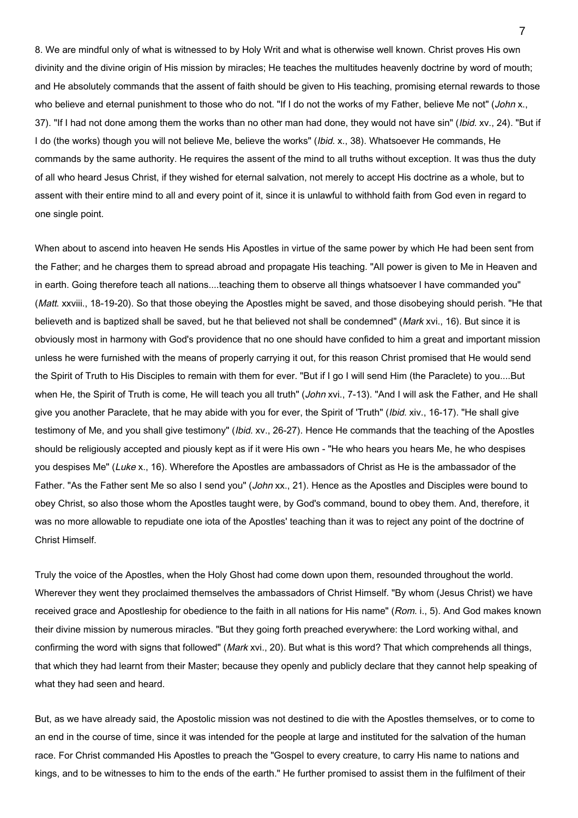8. We are mindful only of what is witnessed to by Holy Writ and what is otherwise well known. Christ proves His own divinity and the divine origin of His mission by miracles; He teaches the multitudes heavenly doctrine by word of mouth; and He absolutely commands that the assent of faith should be given to His teaching, promising eternal rewards to those who believe and eternal punishment to those who do not. "If I do not the works of my Father, believe Me not" (John x., 37). "If I had not done among them the works than no other man had done, they would not have sin" (Ibid. xv., 24). "But if I do (the works) though you will not believe Me, believe the works" (Ibid. x., 38). Whatsoever He commands, He commands by the same authority. He requires the assent of the mind to all truths without exception. It was thus the duty of all who heard Jesus Christ, if they wished for eternal salvation, not merely to accept His doctrine as a whole, but to assent with their entire mind to all and every point of it, since it is unlawful to withhold faith from God even in regard to one single point.

When about to ascend into heaven He sends His Apostles in virtue of the same power by which He had been sent from the Father; and he charges them to spread abroad and propagate His teaching. "All power is given to Me in Heaven and in earth. Going therefore teach all nations....teaching them to observe all things whatsoever I have commanded you" (Matt. xxviii., 18-19-20). So that those obeying the Apostles might be saved, and those disobeying should perish. "He that believeth and is baptized shall be saved, but he that believed not shall be condemned" (Mark xvi., 16). But since it is obviously most in harmony with God's providence that no one should have confided to him a great and important mission unless he were furnished with the means of properly carrying it out, for this reason Christ promised that He would send the Spirit of Truth to His Disciples to remain with them for ever. "But if I go I will send Him (the Paraclete) to you....But when He, the Spirit of Truth is come, He will teach you all truth" (John xvi., 7-13). "And I will ask the Father, and He shall give you another Paraclete, that he may abide with you for ever, the Spirit of 'Truth" (Ibid. xiv., 16-17). "He shall give testimony of Me, and you shall give testimony" (Ibid. xv., 26-27). Hence He commands that the teaching of the Apostles should be religiously accepted and piously kept as if it were His own - "He who hears you hears Me, he who despises you despises Me" (Luke x., 16). Wherefore the Apostles are ambassadors of Christ as He is the ambassador of the Father. "As the Father sent Me so also I send you" (John xx., 21). Hence as the Apostles and Disciples were bound to obey Christ, so also those whom the Apostles taught were, by God's command, bound to obey them. And, therefore, it was no more allowable to repudiate one iota of the Apostles' teaching than it was to reject any point of the doctrine of Christ Himself.

Truly the voice of the Apostles, when the Holy Ghost had come down upon them, resounded throughout the world. Wherever they went they proclaimed themselves the ambassadors of Christ Himself. "By whom (Jesus Christ) we have received grace and Apostleship for obedience to the faith in all nations for His name" (Rom. i., 5). And God makes known their divine mission by numerous miracles. "But they going forth preached everywhere: the Lord working withal, and confirming the word with signs that followed" (Mark xvi., 20). But what is this word? That which comprehends all things, that which they had learnt from their Master; because they openly and publicly declare that they cannot help speaking of what they had seen and heard.

But, as we have already said, the Apostolic mission was not destined to die with the Apostles themselves, or to come to an end in the course of time, since it was intended for the people at large and instituted for the salvation of the human race. For Christ commanded His Apostles to preach the "Gospel to every creature, to carry His name to nations and kings, and to be witnesses to him to the ends of the earth." He further promised to assist them in the fulfilment of their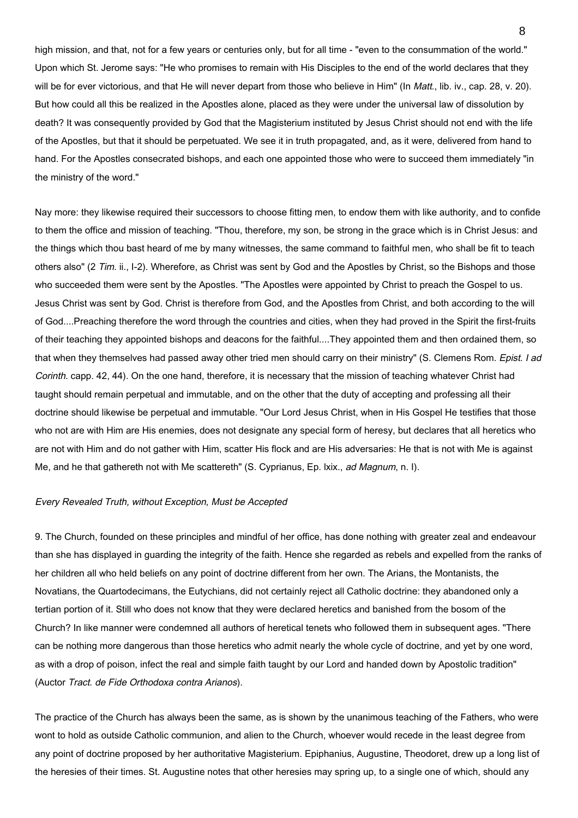high mission, and that, not for a few years or centuries only, but for all time - "even to the consummation of the world." Upon which St. Jerome says: "He who promises to remain with His Disciples to the end of the world declares that they will be for ever victorious, and that He will never depart from those who believe in Him" (In Matt., lib. iv., cap. 28, v. 20). But how could all this be realized in the Apostles alone, placed as they were under the universal law of dissolution by death? It was consequently provided by God that the Magisterium instituted by Jesus Christ should not end with the life of the Apostles, but that it should be perpetuated. We see it in truth propagated, and, as it were, delivered from hand to hand. For the Apostles consecrated bishops, and each one appointed those who were to succeed them immediately "in the ministry of the word."

Nay more: they likewise required their successors to choose fitting men, to endow them with like authority, and to confide to them the office and mission of teaching. "Thou, therefore, my son, be strong in the grace which is in Christ Jesus: and the things which thou bast heard of me by many witnesses, the same command to faithful men, who shall be fit to teach others also" (2 Tim. ii., I-2). Wherefore, as Christ was sent by God and the Apostles by Christ, so the Bishops and those who succeeded them were sent by the Apostles. "The Apostles were appointed by Christ to preach the Gospel to us. Jesus Christ was sent by God. Christ is therefore from God, and the Apostles from Christ, and both according to the will of God....Preaching therefore the word through the countries and cities, when they had proved in the Spirit the first-fruits of their teaching they appointed bishops and deacons for the faithful....They appointed them and then ordained them, so that when they themselves had passed away other tried men should carry on their ministry" (S. Clemens Rom. Epist. I ad Corinth. capp. 42, 44). On the one hand, therefore, it is necessary that the mission of teaching whatever Christ had taught should remain perpetual and immutable, and on the other that the duty of accepting and professing all their doctrine should likewise be perpetual and immutable. "Our Lord Jesus Christ, when in His Gospel He testifies that those who not are with Him are His enemies, does not designate any special form of heresy, but declares that all heretics who are not with Him and do not gather with Him, scatter His flock and are His adversaries: He that is not with Me is against Me, and he that gathereth not with Me scattereth" (S. Cyprianus, Ep. lxix., ad Magnum, n. I).

#### Every Revealed Truth, without Exception, Must be Accepted

9. The Church, founded on these principles and mindful of her office, has done nothing with greater zeal and endeavour than she has displayed in guarding the integrity of the faith. Hence she regarded as rebels and expelled from the ranks of her children all who held beliefs on any point of doctrine different from her own. The Arians, the Montanists, the Novatians, the Quartodecimans, the Eutychians, did not certainly reject all Catholic doctrine: they abandoned only a tertian portion of it. Still who does not know that they were declared heretics and banished from the bosom of the Church? In like manner were condemned all authors of heretical tenets who followed them in subsequent ages. "There can be nothing more dangerous than those heretics who admit nearly the whole cycle of doctrine, and yet by one word, as with a drop of poison, infect the real and simple faith taught by our Lord and handed down by Apostolic tradition" (Auctor Tract. de Fide Orthodoxa contra Arianos).

The practice of the Church has always been the same, as is shown by the unanimous teaching of the Fathers, who were wont to hold as outside Catholic communion, and alien to the Church, whoever would recede in the least degree from any point of doctrine proposed by her authoritative Magisterium. Epiphanius, Augustine, Theodoret, drew up a long list of the heresies of their times. St. Augustine notes that other heresies may spring up, to a single one of which, should any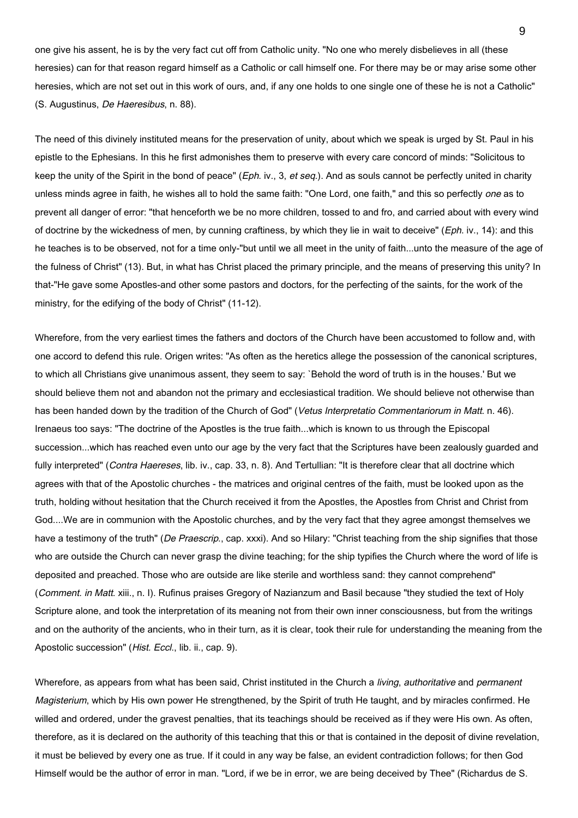one give his assent, he is by the very fact cut off from Catholic unity. "No one who merely disbelieves in all (these heresies) can for that reason regard himself as a Catholic or call himself one. For there may be or may arise some other heresies, which are not set out in this work of ours, and, if any one holds to one single one of these he is not a Catholic" (S. Augustinus, De Haeresibus, n. 88).

The need of this divinely instituted means for the preservation of unity, about which we speak is urged by St. Paul in his epistle to the Ephesians. In this he first admonishes them to preserve with every care concord of minds: "Solicitous to keep the unity of the Spirit in the bond of peace" (Eph. iv., 3, et seq.). And as souls cannot be perfectly united in charity unless minds agree in faith, he wishes all to hold the same faith: "One Lord, one faith," and this so perfectly one as to prevent all danger of error: "that henceforth we be no more children, tossed to and fro, and carried about with every wind of doctrine by the wickedness of men, by cunning craftiness, by which they lie in wait to deceive" (Eph. iv., 14): and this he teaches is to be observed, not for a time only-"but until we all meet in the unity of faith...unto the measure of the age of the fulness of Christ" (13). But, in what has Christ placed the primary principle, and the means of preserving this unity? In that-"He gave some Apostles-and other some pastors and doctors, for the perfecting of the saints, for the work of the ministry, for the edifying of the body of Christ" (11-12).

Wherefore, from the very earliest times the fathers and doctors of the Church have been accustomed to follow and, with one accord to defend this rule. Origen writes: "As often as the heretics allege the possession of the canonical scriptures, to which all Christians give unanimous assent, they seem to say: `Behold the word of truth is in the houses.' But we should believe them not and abandon not the primary and ecclesiastical tradition. We should believe not otherwise than has been handed down by the tradition of the Church of God" (Vetus Interpretatio Commentariorum in Matt. n. 46). Irenaeus too says: "The doctrine of the Apostles is the true faith...which is known to us through the Episcopal succession...which has reached even unto our age by the very fact that the Scriptures have been zealously guarded and fully interpreted" (Contra Haereses, lib. iv., cap. 33, n. 8). And Tertullian: "It is therefore clear that all doctrine which agrees with that of the Apostolic churches - the matrices and original centres of the faith, must be looked upon as the truth, holding without hesitation that the Church received it from the Apostles, the Apostles from Christ and Christ from God....We are in communion with the Apostolic churches, and by the very fact that they agree amongst themselves we have a testimony of the truth" (De Praescrip., cap. xxxi). And so Hilary: "Christ teaching from the ship signifies that those who are outside the Church can never grasp the divine teaching; for the ship typifies the Church where the word of life is deposited and preached. Those who are outside are like sterile and worthless sand: they cannot comprehend" (Comment. in Matt. xiii., n. I). Rufinus praises Gregory of Nazianzum and Basil because "they studied the text of Holy Scripture alone, and took the interpretation of its meaning not from their own inner consciousness, but from the writings and on the authority of the ancients, who in their turn, as it is clear, took their rule for understanding the meaning from the Apostolic succession" (Hist. Eccl., lib. ii., cap. 9).

Wherefore, as appears from what has been said, Christ instituted in the Church a living, authoritative and permanent Magisterium, which by His own power He strengthened, by the Spirit of truth He taught, and by miracles confirmed. He willed and ordered, under the gravest penalties, that its teachings should be received as if they were His own. As often, therefore, as it is declared on the authority of this teaching that this or that is contained in the deposit of divine revelation, it must be believed by every one as true. If it could in any way be false, an evident contradiction follows; for then God Himself would be the author of error in man. "Lord, if we be in error, we are being deceived by Thee" (Richardus de S.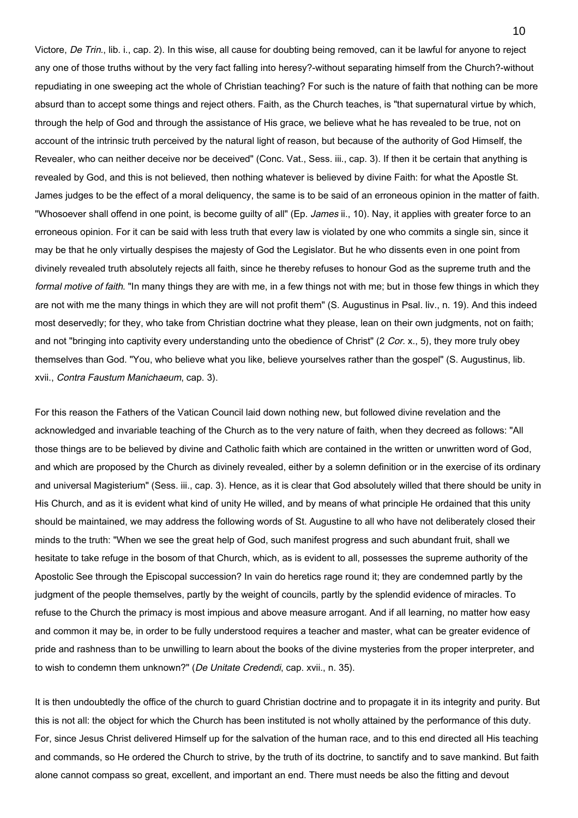Victore, De Trin., lib. i., cap. 2). In this wise, all cause for doubting being removed, can it be lawful for anyone to reject any one of those truths without by the very fact falling into heresy?-without separating himself from the Church?-without repudiating in one sweeping act the whole of Christian teaching? For such is the nature of faith that nothing can be more absurd than to accept some things and reject others. Faith, as the Church teaches, is "that supernatural virtue by which, through the help of God and through the assistance of His grace, we believe what he has revealed to be true, not on account of the intrinsic truth perceived by the natural light of reason, but because of the authority of God Himself, the Revealer, who can neither deceive nor be deceived" (Conc. Vat., Sess. iii., cap. 3). If then it be certain that anything is revealed by God, and this is not believed, then nothing whatever is believed by divine Faith: for what the Apostle St. James judges to be the effect of a moral deliquency, the same is to be said of an erroneous opinion in the matter of faith. "Whosoever shall offend in one point, is become guilty of all" (Ep. James ii., 10). Nay, it applies with greater force to an erroneous opinion. For it can be said with less truth that every law is violated by one who commits a single sin, since it may be that he only virtually despises the majesty of God the Legislator. But he who dissents even in one point from divinely revealed truth absolutely rejects all faith, since he thereby refuses to honour God as the supreme truth and the formal motive of faith. "In many things they are with me, in a few things not with me; but in those few things in which they are not with me the many things in which they are will not profit them" (S. Augustinus in Psal. liv., n. 19). And this indeed most deservedly; for they, who take from Christian doctrine what they please, lean on their own judgments, not on faith; and not "bringing into captivity every understanding unto the obedience of Christ" (2 Cor. x., 5), they more truly obey themselves than God. "You, who believe what you like, believe yourselves rather than the gospel" (S. Augustinus, lib. xvii., Contra Faustum Manichaeum, cap. 3).

For this reason the Fathers of the Vatican Council laid down nothing new, but followed divine revelation and the acknowledged and invariable teaching of the Church as to the very nature of faith, when they decreed as follows: "All those things are to be believed by divine and Catholic faith which are contained in the written or unwritten word of God, and which are proposed by the Church as divinely revealed, either by a solemn definition or in the exercise of its ordinary and universal Magisterium" (Sess. iii., cap. 3). Hence, as it is clear that God absolutely willed that there should be unity in His Church, and as it is evident what kind of unity He willed, and by means of what principle He ordained that this unity should be maintained, we may address the following words of St. Augustine to all who have not deliberately closed their minds to the truth: "When we see the great help of God, such manifest progress and such abundant fruit, shall we hesitate to take refuge in the bosom of that Church, which, as is evident to all, possesses the supreme authority of the Apostolic See through the Episcopal succession? In vain do heretics rage round it; they are condemned partly by the judgment of the people themselves, partly by the weight of councils, partly by the splendid evidence of miracles. To refuse to the Church the primacy is most impious and above measure arrogant. And if all learning, no matter how easy and common it may be, in order to be fully understood requires a teacher and master, what can be greater evidence of pride and rashness than to be unwilling to learn about the books of the divine mysteries from the proper interpreter, and to wish to condemn them unknown?" (De Unitate Credendi, cap. xvii., n. 35).

It is then undoubtedly the office of the church to guard Christian doctrine and to propagate it in its integrity and purity. But this is not all: the object for which the Church has been instituted is not wholly attained by the performance of this duty. For, since Jesus Christ delivered Himself up for the salvation of the human race, and to this end directed all His teaching and commands, so He ordered the Church to strive, by the truth of its doctrine, to sanctify and to save mankind. But faith alone cannot compass so great, excellent, and important an end. There must needs be also the fitting and devout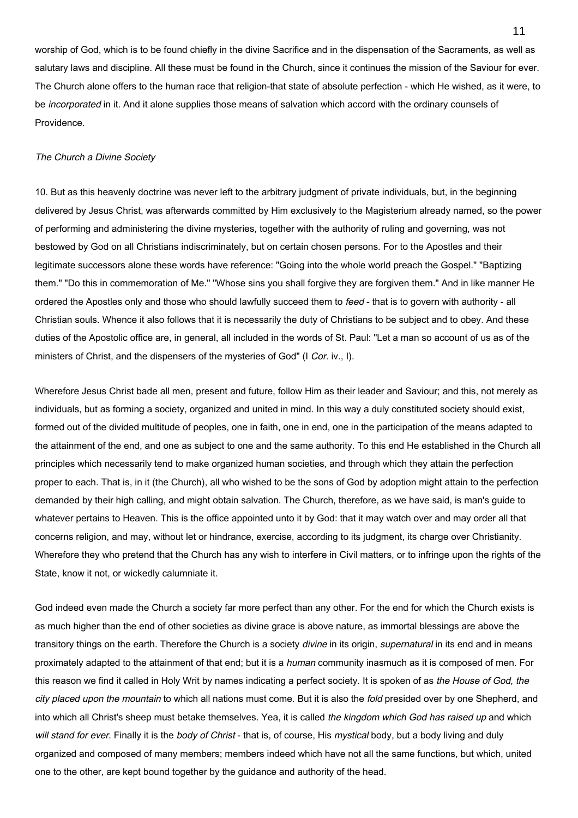worship of God, which is to be found chiefly in the divine Sacrifice and in the dispensation of the Sacraments, as well as salutary laws and discipline. All these must be found in the Church, since it continues the mission of the Saviour for ever. The Church alone offers to the human race that religion-that state of absolute perfection - which He wished, as it were, to be *incorporated* in it. And it alone supplies those means of salvation which accord with the ordinary counsels of Providence.

#### The Church a Divine Society

10. But as this heavenly doctrine was never left to the arbitrary judgment of private individuals, but, in the beginning delivered by Jesus Christ, was afterwards committed by Him exclusively to the Magisterium already named, so the power of performing and administering the divine mysteries, together with the authority of ruling and governing, was not bestowed by God on all Christians indiscriminately, but on certain chosen persons. For to the Apostles and their legitimate successors alone these words have reference: "Going into the whole world preach the Gospel." "Baptizing them." "Do this in commemoration of Me." "Whose sins you shall forgive they are forgiven them." And in like manner He ordered the Apostles only and those who should lawfully succeed them to feed - that is to govern with authority - all Christian souls. Whence it also follows that it is necessarily the duty of Christians to be subject and to obey. And these duties of the Apostolic office are, in general, all included in the words of St. Paul: "Let a man so account of us as of the ministers of Christ, and the dispensers of the mysteries of God" (I Cor. iv., I).

Wherefore Jesus Christ bade all men, present and future, follow Him as their leader and Saviour; and this, not merely as individuals, but as forming a society, organized and united in mind. In this way a duly constituted society should exist, formed out of the divided multitude of peoples, one in faith, one in end, one in the participation of the means adapted to the attainment of the end, and one as subject to one and the same authority. To this end He established in the Church all principles which necessarily tend to make organized human societies, and through which they attain the perfection proper to each. That is, in it (the Church), all who wished to be the sons of God by adoption might attain to the perfection demanded by their high calling, and might obtain salvation. The Church, therefore, as we have said, is man's guide to whatever pertains to Heaven. This is the office appointed unto it by God: that it may watch over and may order all that concerns religion, and may, without let or hindrance, exercise, according to its judgment, its charge over Christianity. Wherefore they who pretend that the Church has any wish to interfere in Civil matters, or to infringe upon the rights of the State, know it not, or wickedly calumniate it.

God indeed even made the Church a society far more perfect than any other. For the end for which the Church exists is as much higher than the end of other societies as divine grace is above nature, as immortal blessings are above the transitory things on the earth. Therefore the Church is a society divine in its origin, *supernatural* in its end and in means proximately adapted to the attainment of that end; but it is a human community inasmuch as it is composed of men. For this reason we find it called in Holy Writ by names indicating a perfect society. It is spoken of as the House of God, the city placed upon the mountain to which all nations must come. But it is also the fold presided over by one Shepherd, and into which all Christ's sheep must betake themselves. Yea, it is called the kingdom which God has raised up and which will stand for ever. Finally it is the body of Christ - that is, of course, His mystical body, but a body living and duly organized and composed of many members; members indeed which have not all the same functions, but which, united one to the other, are kept bound together by the guidance and authority of the head.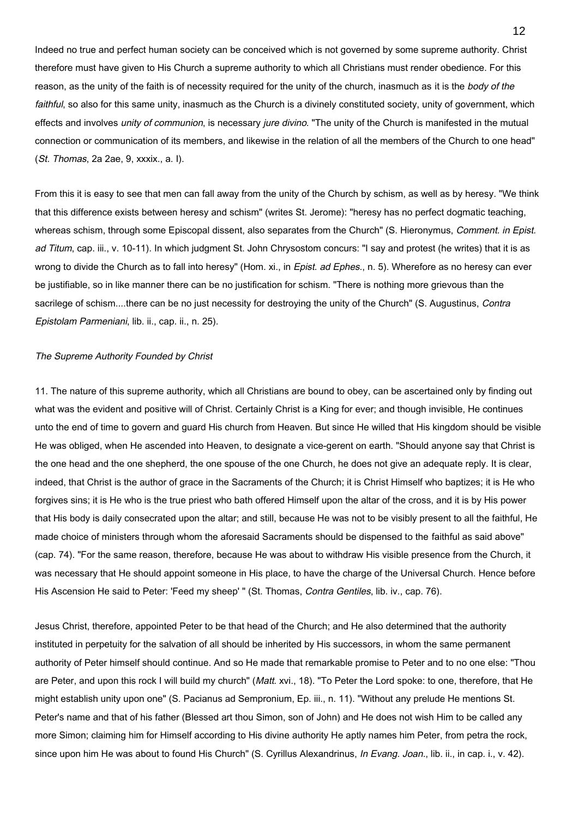Indeed no true and perfect human society can be conceived which is not governed by some supreme authority. Christ therefore must have given to His Church a supreme authority to which all Christians must render obedience. For this reason, as the unity of the faith is of necessity required for the unity of the church, inasmuch as it is the body of the faithful, so also for this same unity, inasmuch as the Church is a divinely constituted society, unity of government, which effects and involves unity of communion, is necessary jure divino. "The unity of the Church is manifested in the mutual connection or communication of its members, and likewise in the relation of all the members of the Church to one head" (St. Thomas, 2a 2ae, 9, xxxix., a. I).

From this it is easy to see that men can fall away from the unity of the Church by schism, as well as by heresy. "We think that this difference exists between heresy and schism" (writes St. Jerome): "heresy has no perfect dogmatic teaching, whereas schism, through some Episcopal dissent, also separates from the Church" (S. Hieronymus, Comment. in Epist. ad Titum, cap. iii., v. 10-11). In which judgment St. John Chrysostom concurs: "I say and protest (he writes) that it is as wrong to divide the Church as to fall into heresy" (Hom. xi., in Epist. ad Ephes., n. 5). Wherefore as no heresy can ever be justifiable, so in like manner there can be no justification for schism. "There is nothing more grievous than the sacrilege of schism....there can be no just necessity for destroying the unity of the Church" (S. Augustinus, Contra Epistolam Parmeniani, lib. ii., cap. ii., n. 25).

#### The Supreme Authority Founded by Christ

11. The nature of this supreme authority, which all Christians are bound to obey, can be ascertained only by finding out what was the evident and positive will of Christ. Certainly Christ is a King for ever; and though invisible, He continues unto the end of time to govern and guard His church from Heaven. But since He willed that His kingdom should be visible He was obliged, when He ascended into Heaven, to designate a vice-gerent on earth. "Should anyone say that Christ is the one head and the one shepherd, the one spouse of the one Church, he does not give an adequate reply. It is clear, indeed, that Christ is the author of grace in the Sacraments of the Church; it is Christ Himself who baptizes; it is He who forgives sins; it is He who is the true priest who bath offered Himself upon the altar of the cross, and it is by His power that His body is daily consecrated upon the altar; and still, because He was not to be visibly present to all the faithful, He made choice of ministers through whom the aforesaid Sacraments should be dispensed to the faithful as said above" (cap. 74). "For the same reason, therefore, because He was about to withdraw His visible presence from the Church, it was necessary that He should appoint someone in His place, to have the charge of the Universal Church. Hence before His Ascension He said to Peter: 'Feed my sheep' " (St. Thomas, Contra Gentiles, lib. iv., cap. 76).

Jesus Christ, therefore, appointed Peter to be that head of the Church; and He also determined that the authority instituted in perpetuity for the salvation of all should be inherited by His successors, in whom the same permanent authority of Peter himself should continue. And so He made that remarkable promise to Peter and to no one else: "Thou are Peter, and upon this rock I will build my church" (Matt. xvi., 18). "To Peter the Lord spoke: to one, therefore, that He might establish unity upon one" (S. Pacianus ad Sempronium, Ep. iii., n. 11). "Without any prelude He mentions St. Peter's name and that of his father (Blessed art thou Simon, son of John) and He does not wish Him to be called any more Simon; claiming him for Himself according to His divine authority He aptly names him Peter, from petra the rock, since upon him He was about to found His Church" (S. Cyrillus Alexandrinus, In Evang. Joan., lib. ii., in cap. i., v. 42).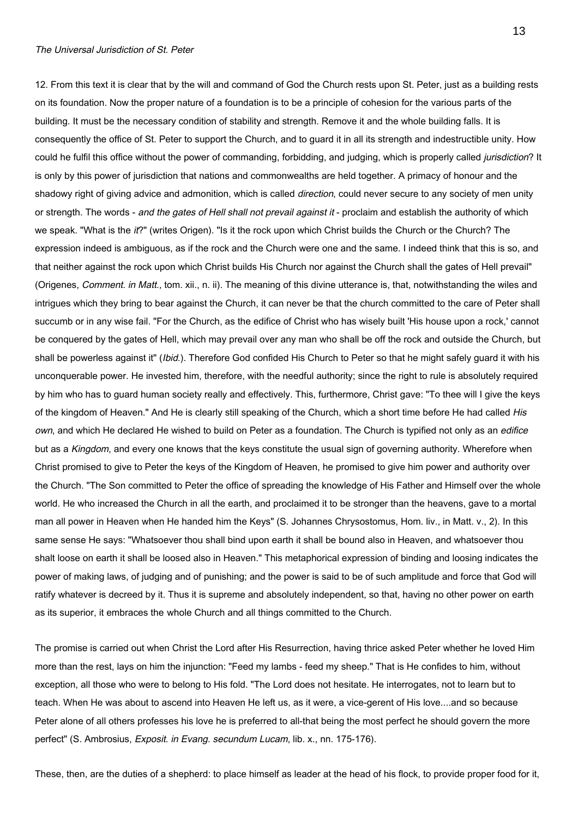### The Universal Jurisdiction of St. Peter

12. From this text it is clear that by the will and command of God the Church rests upon St. Peter, just as a building rests on its foundation. Now the proper nature of a foundation is to be a principle of cohesion for the various parts of the building. It must be the necessary condition of stability and strength. Remove it and the whole building falls. It is consequently the office of St. Peter to support the Church, and to guard it in all its strength and indestructible unity. How could he fulfil this office without the power of commanding, forbidding, and judging, which is properly called jurisdiction? It is only by this power of jurisdiction that nations and commonwealths are held together. A primacy of honour and the shadowy right of giving advice and admonition, which is called *direction*, could never secure to any society of men unity or strength. The words - and the gates of Hell shall not prevail against it - proclaim and establish the authority of which we speak. "What is the it?" (writes Origen). "Is it the rock upon which Christ builds the Church or the Church? The expression indeed is ambiguous, as if the rock and the Church were one and the same. I indeed think that this is so, and that neither against the rock upon which Christ builds His Church nor against the Church shall the gates of Hell prevail" (Origenes, Comment. in Matt., tom. xii., n. ii). The meaning of this divine utterance is, that, notwithstanding the wiles and intrigues which they bring to bear against the Church, it can never be that the church committed to the care of Peter shall succumb or in any wise fail. "For the Church, as the edifice of Christ who has wisely built 'His house upon a rock,' cannot be conquered by the gates of Hell, which may prevail over any man who shall be off the rock and outside the Church, but shall be powerless against it" (*Ibid.*). Therefore God confided His Church to Peter so that he might safely guard it with his unconquerable power. He invested him, therefore, with the needful authority; since the right to rule is absolutely required by him who has to guard human society really and effectively. This, furthermore, Christ gave: "To thee will I give the keys of the kingdom of Heaven." And He is clearly still speaking of the Church, which a short time before He had called His own, and which He declared He wished to build on Peter as a foundation. The Church is typified not only as an edifice but as a Kingdom, and every one knows that the keys constitute the usual sign of governing authority. Wherefore when Christ promised to give to Peter the keys of the Kingdom of Heaven, he promised to give him power and authority over the Church. "The Son committed to Peter the office of spreading the knowledge of His Father and Himself over the whole world. He who increased the Church in all the earth, and proclaimed it to be stronger than the heavens, gave to a mortal man all power in Heaven when He handed him the Keys" (S. Johannes Chrysostomus, Hom. liv., in Matt. v., 2). In this same sense He says: "Whatsoever thou shall bind upon earth it shall be bound also in Heaven, and whatsoever thou shalt loose on earth it shall be loosed also in Heaven." This metaphorical expression of binding and loosing indicates the power of making laws, of judging and of punishing; and the power is said to be of such amplitude and force that God will ratify whatever is decreed by it. Thus it is supreme and absolutely independent, so that, having no other power on earth as its superior, it embraces the whole Church and all things committed to the Church.

The promise is carried out when Christ the Lord after His Resurrection, having thrice asked Peter whether he loved Him more than the rest, lays on him the injunction: "Feed my lambs - feed my sheep." That is He confides to him, without exception, all those who were to belong to His fold. "The Lord does not hesitate. He interrogates, not to learn but to teach. When He was about to ascend into Heaven He left us, as it were, a vice-gerent of His love....and so because Peter alone of all others professes his love he is preferred to all-that being the most perfect he should govern the more perfect" (S. Ambrosius, Exposit. in Evang. secundum Lucam, lib. x., nn. 175-176).

These, then, are the duties of a shepherd: to place himself as leader at the head of his flock, to provide proper food for it,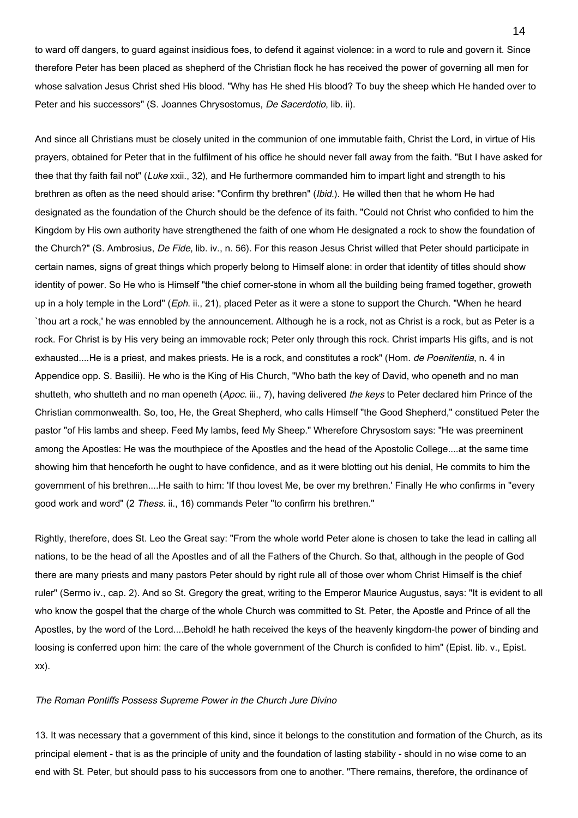to ward off dangers, to guard against insidious foes, to defend it against violence: in a word to rule and govern it. Since therefore Peter has been placed as shepherd of the Christian flock he has received the power of governing all men for whose salvation Jesus Christ shed His blood. "Why has He shed His blood? To buy the sheep which He handed over to Peter and his successors" (S. Joannes Chrysostomus, De Sacerdotio, lib. ii).

And since all Christians must be closely united in the communion of one immutable faith, Christ the Lord, in virtue of His prayers, obtained for Peter that in the fulfilment of his office he should never fall away from the faith. "But I have asked for thee that thy faith fail not" (Luke xxii., 32), and He furthermore commanded him to impart light and strength to his brethren as often as the need should arise: "Confirm thy brethren" (Ibid.). He willed then that he whom He had designated as the foundation of the Church should be the defence of its faith. "Could not Christ who confided to him the Kingdom by His own authority have strengthened the faith of one whom He designated a rock to show the foundation of the Church?" (S. Ambrosius, De Fide, lib. iv., n. 56). For this reason Jesus Christ willed that Peter should participate in certain names, signs of great things which properly belong to Himself alone: in order that identity of titles should show identity of power. So He who is Himself "the chief corner-stone in whom all the building being framed together, groweth up in a holy temple in the Lord" (Eph. ii., 21), placed Peter as it were a stone to support the Church. "When he heard `thou art a rock,' he was ennobled by the announcement. Although he is a rock, not as Christ is a rock, but as Peter is a rock. For Christ is by His very being an immovable rock; Peter only through this rock. Christ imparts His gifts, and is not exhausted....He is a priest, and makes priests. He is a rock, and constitutes a rock" (Hom. de Poenitentia, n. 4 in Appendice opp. S. Basilii). He who is the King of His Church, "Who bath the key of David, who openeth and no man shutteth, who shutteth and no man openeth (Apoc. iii., 7), having delivered the keys to Peter declared him Prince of the Christian commonwealth. So, too, He, the Great Shepherd, who calls Himself "the Good Shepherd," constitued Peter the pastor "of His lambs and sheep. Feed My lambs, feed My Sheep." Wherefore Chrysostom says: "He was preeminent among the Apostles: He was the mouthpiece of the Apostles and the head of the Apostolic College....at the same time showing him that henceforth he ought to have confidence, and as it were blotting out his denial, He commits to him the government of his brethren....He saith to him: 'If thou lovest Me, be over my brethren.' Finally He who confirms in "every good work and word" (2 Thess. ii., 16) commands Peter "to confirm his brethren."

Rightly, therefore, does St. Leo the Great say: "From the whole world Peter alone is chosen to take the lead in calling all nations, to be the head of all the Apostles and of all the Fathers of the Church. So that, although in the people of God there are many priests and many pastors Peter should by right rule all of those over whom Christ Himself is the chief ruler" (Sermo iv., cap. 2). And so St. Gregory the great, writing to the Emperor Maurice Augustus, says: "It is evident to all who know the gospel that the charge of the whole Church was committed to St. Peter, the Apostle and Prince of all the Apostles, by the word of the Lord....Behold! he hath received the keys of the heavenly kingdom-the power of binding and loosing is conferred upon him: the care of the whole government of the Church is confided to him" (Epist. lib. v., Epist. xx).

# The Roman Pontiffs Possess Supreme Power in the Church Jure Divino

13. It was necessary that a government of this kind, since it belongs to the constitution and formation of the Church, as its principal element - that is as the principle of unity and the foundation of lasting stability - should in no wise come to an end with St. Peter, but should pass to his successors from one to another. "There remains, therefore, the ordinance of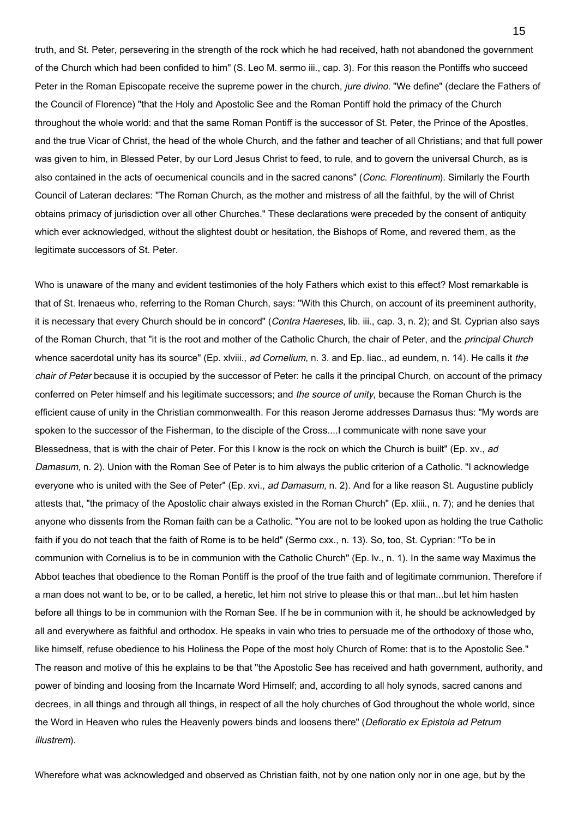truth, and St. Peter, persevering in the strength of the rock which he had received, hath not abandoned the government of the Church which had been confided to him" (S. Leo M. sermo iii., cap. 3). For this reason the Pontiffs who succeed Peter in the Roman Episcopate receive the supreme power in the church, jure divino. "We define" (declare the Fathers of the Council of Florence) "that the Holy and Apostolic See and the Roman Pontiff hold the primacy of the Church throughout the whole world: and that the same Roman Pontiff is the successor of St. Peter, the Prince of the Apostles, and the true Vicar of Christ, the head of the whole Church, and the father and teacher of all Christians; and that full power was given to him, in Blessed Peter, by our Lord Jesus Christ to feed, to rule, and to govern the universal Church, as is also contained in the acts of oecumenical councils and in the sacred canons" (Conc. Florentinum). Similarly the Fourth Council of Lateran declares: "The Roman Church, as the mother and mistress of all the faithful, by the will of Christ obtains primacy of jurisdiction over all other Churches." These declarations were preceded by the consent of antiquity which ever acknowledged, without the slightest doubt or hesitation, the Bishops of Rome, and revered them, as the legitimate successors of St. Peter.

Who is unaware of the many and evident testimonies of the holy Fathers which exist to this effect? Most remarkable is that of St. Irenaeus who, referring to the Roman Church, says: "With this Church, on account of its preeminent authority, it is necessary that every Church should be in concord" (Contra Haereses, lib. iii., cap. 3, n. 2); and St. Cyprian also says of the Roman Church, that "it is the root and mother of the Catholic Church, the chair of Peter, and the *principal Church* whence sacerdotal unity has its source" (Ep. xlviii., ad Cornelium, n. 3. and Ep. liac., ad eundem, n. 14). He calls it the chair of Peter because it is occupied by the successor of Peter: he calls it the principal Church, on account of the primacy conferred on Peter himself and his legitimate successors; and the source of unity, because the Roman Church is the efficient cause of unity in the Christian commonwealth. For this reason Jerome addresses Damasus thus: "My words are spoken to the successor of the Fisherman, to the disciple of the Cross....I communicate with none save your Blessedness, that is with the chair of Peter. For this I know is the rock on which the Church is built" (Ep. xv., ad Damasum, n. 2). Union with the Roman See of Peter is to him always the public criterion of a Catholic. "I acknowledge everyone who is united with the See of Peter" (Ep. xvi., ad Damasum, n. 2). And for a like reason St. Augustine publicly attests that, "the primacy of the Apostolic chair always existed in the Roman Church" (Ep. xliii., n. 7); and he denies that anyone who dissents from the Roman faith can be a Catholic. "You are not to be looked upon as holding the true Catholic faith if you do not teach that the faith of Rome is to be held" (Sermo cxx., n. 13). So, too, St. Cyprian: "To be in communion with Cornelius is to be in communion with the Catholic Church" (Ep. lv., n. 1). In the same way Maximus the Abbot teaches that obedience to the Roman Pontiff is the proof of the true faith and of legitimate communion. Therefore if a man does not want to be, or to be called, a heretic, let him not strive to please this or that man...but let him hasten before all things to be in communion with the Roman See. If he be in communion with it, he should be acknowledged by all and everywhere as faithful and orthodox. He speaks in vain who tries to persuade me of the orthodoxy of those who, like himself, refuse obedience to his Holiness the Pope of the most holy Church of Rome: that is to the Apostolic See." The reason and motive of this he explains to be that "the Apostolic See has received and hath government, authority, and power of binding and loosing from the Incarnate Word Himself; and, according to all holy synods, sacred canons and decrees, in all things and through all things, in respect of all the holy churches of God throughout the whole world, since the Word in Heaven who rules the Heavenly powers binds and loosens there" (Defloratio ex Epistola ad Petrum illustrem).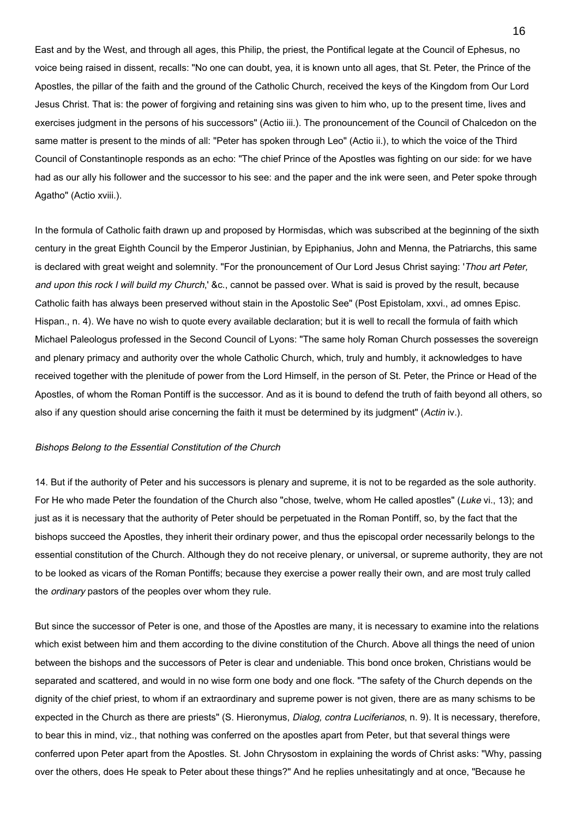East and by the West, and through all ages, this Philip, the priest, the Pontifical legate at the Council of Ephesus, no voice being raised in dissent, recalls: "No one can doubt, yea, it is known unto all ages, that St. Peter, the Prince of the Apostles, the pillar of the faith and the ground of the Catholic Church, received the keys of the Kingdom from Our Lord Jesus Christ. That is: the power of forgiving and retaining sins was given to him who, up to the present time, lives and exercises judgment in the persons of his successors" (Actio iii.). The pronouncement of the Council of Chalcedon on the same matter is present to the minds of all: "Peter has spoken through Leo" (Actio ii.), to which the voice of the Third Council of Constantinople responds as an echo: "The chief Prince of the Apostles was fighting on our side: for we have had as our ally his follower and the successor to his see: and the paper and the ink were seen, and Peter spoke through Agatho" (Actio xviii.).

In the formula of Catholic faith drawn up and proposed by Hormisdas, which was subscribed at the beginning of the sixth century in the great Eighth Council by the Emperor Justinian, by Epiphanius, John and Menna, the Patriarchs, this same is declared with great weight and solemnity. "For the pronouncement of Our Lord Jesus Christ saying: 'Thou art Peter, and upon this rock I will build my Church,' &c., cannot be passed over. What is said is proved by the result, because Catholic faith has always been preserved without stain in the Apostolic See" (Post Epistolam, xxvi., ad omnes Episc. Hispan., n. 4). We have no wish to quote every available declaration; but it is well to recall the formula of faith which Michael Paleologus professed in the Second Council of Lyons: "The same holy Roman Church possesses the sovereign and plenary primacy and authority over the whole Catholic Church, which, truly and humbly, it acknowledges to have received together with the plenitude of power from the Lord Himself, in the person of St. Peter, the Prince or Head of the Apostles, of whom the Roman Pontiff is the successor. And as it is bound to defend the truth of faith beyond all others, so also if any question should arise concerning the faith it must be determined by its judgment" (Actin iv.).

# Bishops Belong to the Essential Constitution of the Church

14. But if the authority of Peter and his successors is plenary and supreme, it is not to be regarded as the sole authority. For He who made Peter the foundation of the Church also "chose, twelve, whom He called apostles" (Luke vi., 13); and just as it is necessary that the authority of Peter should be perpetuated in the Roman Pontiff, so, by the fact that the bishops succeed the Apostles, they inherit their ordinary power, and thus the episcopal order necessarily belongs to the essential constitution of the Church. Although they do not receive plenary, or universal, or supreme authority, they are not to be looked as vicars of the Roman Pontiffs; because they exercise a power really their own, and are most truly called the ordinary pastors of the peoples over whom they rule.

But since the successor of Peter is one, and those of the Apostles are many, it is necessary to examine into the relations which exist between him and them according to the divine constitution of the Church. Above all things the need of union between the bishops and the successors of Peter is clear and undeniable. This bond once broken, Christians would be separated and scattered, and would in no wise form one body and one flock. "The safety of the Church depends on the dignity of the chief priest, to whom if an extraordinary and supreme power is not given, there are as many schisms to be expected in the Church as there are priests" (S. Hieronymus, Dialog, contra Luciferianos, n. 9). It is necessary, therefore, to bear this in mind, viz., that nothing was conferred on the apostles apart from Peter, but that several things were conferred upon Peter apart from the Apostles. St. John Chrysostom in explaining the words of Christ asks: "Why, passing over the others, does He speak to Peter about these things?" And he replies unhesitatingly and at once, "Because he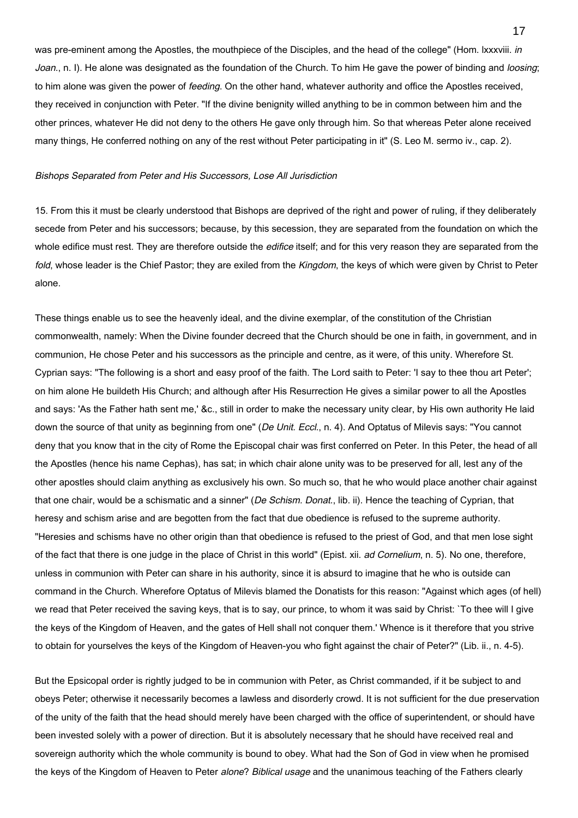was pre-eminent among the Apostles, the mouthpiece of the Disciples, and the head of the college" (Hom. Ixxxviii. in Joan., n. I). He alone was designated as the foundation of the Church. To him He gave the power of binding and loosing; to him alone was given the power of feeding. On the other hand, whatever authority and office the Apostles received, they received in conjunction with Peter. "If the divine benignity willed anything to be in common between him and the other princes, whatever He did not deny to the others He gave only through him. So that whereas Peter alone received many things, He conferred nothing on any of the rest without Peter participating in it" (S. Leo M. sermo iv., cap. 2).

### Bishops Separated from Peter and His Successors, Lose All Jurisdiction

15. From this it must be clearly understood that Bishops are deprived of the right and power of ruling, if they deliberately secede from Peter and his successors; because, by this secession, they are separated from the foundation on which the whole edifice must rest. They are therefore outside the *edifice* itself; and for this very reason they are separated from the fold, whose leader is the Chief Pastor; they are exiled from the Kingdom, the keys of which were given by Christ to Peter alone.

These things enable us to see the heavenly ideal, and the divine exemplar, of the constitution of the Christian commonwealth, namely: When the Divine founder decreed that the Church should be one in faith, in government, and in communion, He chose Peter and his successors as the principle and centre, as it were, of this unity. Wherefore St. Cyprian says: "The following is a short and easy proof of the faith. The Lord saith to Peter: 'I say to thee thou art Peter'; on him alone He buildeth His Church; and although after His Resurrection He gives a similar power to all the Apostles and says: 'As the Father hath sent me,' &c., still in order to make the necessary unity clear, by His own authority He laid down the source of that unity as beginning from one" (De Unit. Eccl., n. 4). And Optatus of Milevis says: "You cannot deny that you know that in the city of Rome the Episcopal chair was first conferred on Peter. In this Peter, the head of all the Apostles (hence his name Cephas), has sat; in which chair alone unity was to be preserved for all, lest any of the other apostles should claim anything as exclusively his own. So much so, that he who would place another chair against that one chair, would be a schismatic and a sinner" (De Schism. Donat., lib. ii). Hence the teaching of Cyprian, that heresy and schism arise and are begotten from the fact that due obedience is refused to the supreme authority. "Heresies and schisms have no other origin than that obedience is refused to the priest of God, and that men lose sight of the fact that there is one judge in the place of Christ in this world" (Epist. xii. ad Cornelium, n. 5). No one, therefore, unless in communion with Peter can share in his authority, since it is absurd to imagine that he who is outside can command in the Church. Wherefore Optatus of Milevis blamed the Donatists for this reason: "Against which ages (of hell) we read that Peter received the saving keys, that is to say, our prince, to whom it was said by Christ: `To thee will I give the keys of the Kingdom of Heaven, and the gates of Hell shall not conquer them.' Whence is it therefore that you strive to obtain for yourselves the keys of the Kingdom of Heaven-you who fight against the chair of Peter?" (Lib. ii., n. 4-5).

But the Epsicopal order is rightly judged to be in communion with Peter, as Christ commanded, if it be subject to and obeys Peter; otherwise it necessarily becomes a lawless and disorderly crowd. It is not sufficient for the due preservation of the unity of the faith that the head should merely have been charged with the office of superintendent, or should have been invested solely with a power of direction. But it is absolutely necessary that he should have received real and sovereign authority which the whole community is bound to obey. What had the Son of God in view when he promised the keys of the Kingdom of Heaven to Peter alone? Biblical usage and the unanimous teaching of the Fathers clearly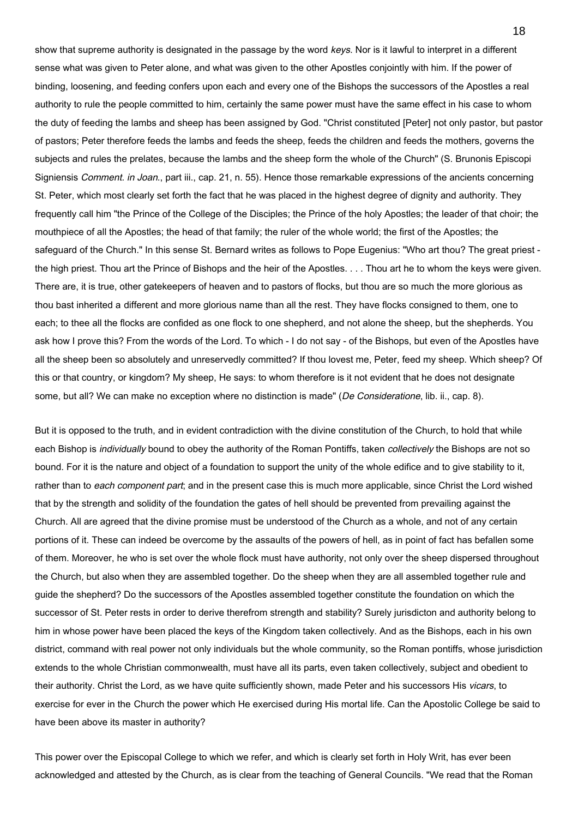show that supreme authority is designated in the passage by the word keys. Nor is it lawful to interpret in a different sense what was given to Peter alone, and what was given to the other Apostles conjointly with him. If the power of binding, loosening, and feeding confers upon each and every one of the Bishops the successors of the Apostles a real authority to rule the people committed to him, certainly the same power must have the same effect in his case to whom the duty of feeding the lambs and sheep has been assigned by God. "Christ constituted [Peter] not only pastor, but pastor of pastors; Peter therefore feeds the lambs and feeds the sheep, feeds the children and feeds the mothers, governs the subjects and rules the prelates, because the lambs and the sheep form the whole of the Church" (S. Brunonis Episcopi Signiensis Comment. in Joan., part iii., cap. 21, n. 55). Hence those remarkable expressions of the ancients concerning St. Peter, which most clearly set forth the fact that he was placed in the highest degree of dignity and authority. They frequently call him "the Prince of the College of the Disciples; the Prince of the holy Apostles; the leader of that choir; the mouthpiece of all the Apostles; the head of that family; the ruler of the whole world; the first of the Apostles; the safeguard of the Church." In this sense St. Bernard writes as follows to Pope Eugenius: "Who art thou? The great priest the high priest. Thou art the Prince of Bishops and the heir of the Apostles. . . . Thou art he to whom the keys were given. There are, it is true, other gatekeepers of heaven and to pastors of flocks, but thou are so much the more glorious as thou bast inherited a different and more glorious name than all the rest. They have flocks consigned to them, one to each; to thee all the flocks are confided as one flock to one shepherd, and not alone the sheep, but the shepherds. You ask how I prove this? From the words of the Lord. To which - I do not say - of the Bishops, but even of the Apostles have all the sheep been so absolutely and unreservedly committed? If thou lovest me, Peter, feed my sheep. Which sheep? Of this or that country, or kingdom? My sheep, He says: to whom therefore is it not evident that he does not designate some, but all? We can make no exception where no distinction is made" (De Consideratione, lib. ii., cap. 8).

But it is opposed to the truth, and in evident contradiction with the divine constitution of the Church, to hold that while each Bishop is *individually* bound to obey the authority of the Roman Pontiffs, taken *collectively* the Bishops are not so bound. For it is the nature and object of a foundation to support the unity of the whole edifice and to give stability to it, rather than to each component part; and in the present case this is much more applicable, since Christ the Lord wished that by the strength and solidity of the foundation the gates of hell should be prevented from prevailing against the Church. All are agreed that the divine promise must be understood of the Church as a whole, and not of any certain portions of it. These can indeed be overcome by the assaults of the powers of hell, as in point of fact has befallen some of them. Moreover, he who is set over the whole flock must have authority, not only over the sheep dispersed throughout the Church, but also when they are assembled together. Do the sheep when they are all assembled together rule and guide the shepherd? Do the successors of the Apostles assembled together constitute the foundation on which the successor of St. Peter rests in order to derive therefrom strength and stability? Surely jurisdicton and authority belong to him in whose power have been placed the keys of the Kingdom taken collectively. And as the Bishops, each in his own district, command with real power not only individuals but the whole community, so the Roman pontiffs, whose jurisdiction extends to the whole Christian commonwealth, must have all its parts, even taken collectively, subject and obedient to their authority. Christ the Lord, as we have quite sufficiently shown, made Peter and his successors His vicars, to exercise for ever in the Church the power which He exercised during His mortal life. Can the Apostolic College be said to have been above its master in authority?

This power over the Episcopal College to which we refer, and which is clearly set forth in Holy Writ, has ever been acknowledged and attested by the Church, as is clear from the teaching of General Councils. "We read that the Roman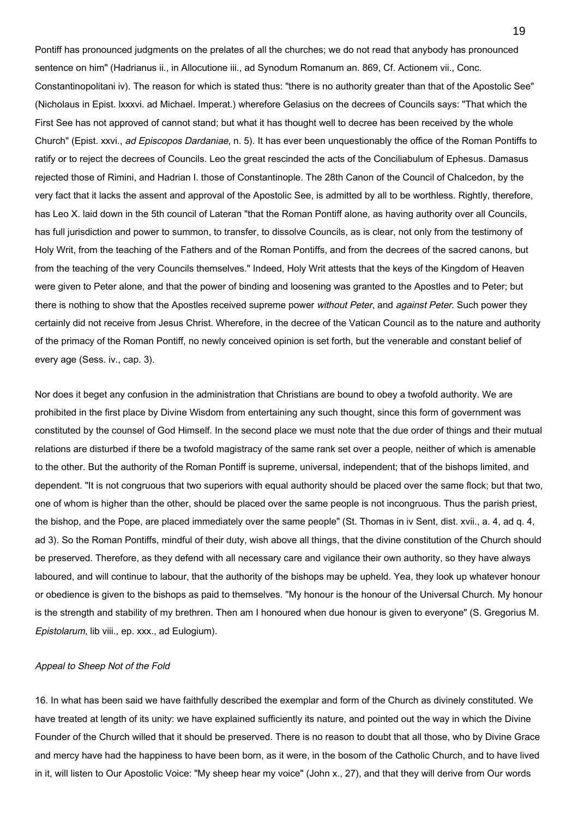Pontiff has pronounced judgments on the prelates of all the churches; we do not read that anybody has pronounced sentence on him" (Hadrianus ii., in Allocutione iii., ad Synodum Romanum an. 869, Cf. Actionem vii., Conc. Constantinopolitani iv). The reason for which is stated thus: "there is no authority greater than that of the Apostolic See" (Nicholaus in Epist. lxxxvi. ad Michael. Imperat.) wherefore Gelasius on the decrees of Councils says: "That which the First See has not approved of cannot stand; but what it has thought well to decree has been received by the whole Church" (Epist. xxvi., ad Episcopos Dardaniae, n. 5). It has ever been unquestionably the office of the Roman Pontiffs to ratify or to reject the decrees of Councils. Leo the great rescinded the acts of the Conciliabulum of Ephesus. Damasus rejected those of Rimini, and Hadrian I. those of Constantinople. The 28th Canon of the Council of Chalcedon, by the very fact that it lacks the assent and approval of the Apostolic See, is admitted by all to be worthless. Rightly, therefore, has Leo X. laid down in the 5th council of Lateran "that the Roman Pontiff alone, as having authority over all Councils, has full jurisdiction and power to summon, to transfer, to dissolve Councils, as is clear, not only from the testimony of Holy Writ, from the teaching of the Fathers and of the Roman Pontiffs, and from the decrees of the sacred canons, but from the teaching of the very Councils themselves." Indeed, Holy Writ attests that the keys of the Kingdom of Heaven were given to Peter alone, and that the power of binding and loosening was granted to the Apostles and to Peter; but there is nothing to show that the Apostles received supreme power without Peter, and against Peter. Such power they certainly did not receive from Jesus Christ. Wherefore, in the decree of the Vatican Council as to the nature and authority of the primacy of the Roman Pontiff, no newly conceived opinion is set forth, but the venerable and constant belief of every age (Sess. iv., cap. 3).

Nor does it beget any confusion in the administration that Christians are bound to obey a twofold authority. We are prohibited in the first place by Divine Wisdom from entertaining any such thought, since this form of government was constituted by the counsel of God Himself. In the second place we must note that the due order of things and their mutual relations are disturbed if there be a twofold magistracy of the same rank set over a people, neither of which is amenable to the other. But the authority of the Roman Pontiff is supreme, universal, independent; that of the bishops limited, and dependent. "It is not congruous that two superiors with equal authority should be placed over the same flock; but that two, one of whom is higher than the other, should be placed over the same people is not incongruous. Thus the parish priest, the bishop, and the Pope, are placed immediately over the same people" (St. Thomas in iv Sent, dist. xvii., a. 4, ad q. 4, ad 3). So the Roman Pontiffs, mindful of their duty, wish above all things, that the divine constitution of the Church should be preserved. Therefore, as they defend with all necessary care and vigilance their own authority, so they have always laboured, and will continue to labour, that the authority of the bishops may be upheld. Yea, they look up whatever honour or obedience is given to the bishops as paid to themselves. "My honour is the honour of the Universal Church. My honour is the strength and stability of my brethren. Then am I honoured when due honour is given to everyone" (S. Gregorius M. Epistolarum, lib viii., ep. xxx., ad Eulogium).

# Appeal to Sheep Not of the Fold

16. In what has been said we have faithfully described the exemplar and form of the Church as divinely constituted. We have treated at length of its unity: we have explained sufficiently its nature, and pointed out the way in which the Divine Founder of the Church willed that it should be preserved. There is no reason to doubt that all those, who by Divine Grace and mercy have had the happiness to have been born, as it were, in the bosom of the Catholic Church, and to have lived in it, will listen to Our Apostolic Voice: "My sheep hear my voice" (John x., 27), and that they will derive from Our words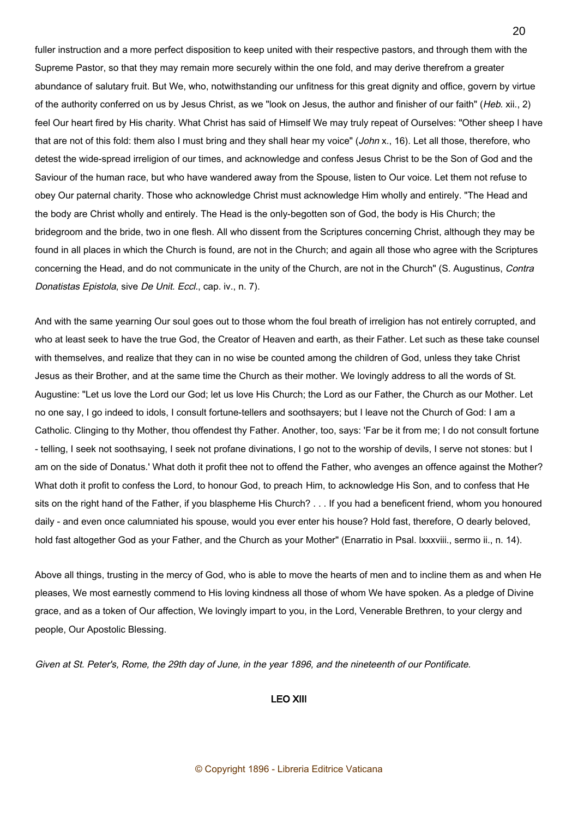fuller instruction and a more perfect disposition to keep united with their respective pastors, and through them with the Supreme Pastor, so that they may remain more securely within the one fold, and may derive therefrom a greater abundance of salutary fruit. But We, who, notwithstanding our unfitness for this great dignity and office, govern by virtue of the authority conferred on us by Jesus Christ, as we "look on Jesus, the author and finisher of our faith" (Heb. xii., 2) feel Our heart fired by His charity. What Christ has said of Himself We may truly repeat of Ourselves: "Other sheep I have that are not of this fold: them also I must bring and they shall hear my voice" (John x., 16). Let all those, therefore, who detest the wide-spread irreligion of our times, and acknowledge and confess Jesus Christ to be the Son of God and the Saviour of the human race, but who have wandered away from the Spouse, listen to Our voice. Let them not refuse to obey Our paternal charity. Those who acknowledge Christ must acknowledge Him wholly and entirely. "The Head and the body are Christ wholly and entirely. The Head is the only-begotten son of God, the body is His Church; the bridegroom and the bride, two in one flesh. All who dissent from the Scriptures concerning Christ, although they may be found in all places in which the Church is found, are not in the Church; and again all those who agree with the Scriptures concerning the Head, and do not communicate in the unity of the Church, are not in the Church" (S. Augustinus, Contra Donatistas Epistola, sive De Unit. Eccl., cap. iv., n. 7).

And with the same yearning Our soul goes out to those whom the foul breath of irreligion has not entirely corrupted, and who at least seek to have the true God, the Creator of Heaven and earth, as their Father. Let such as these take counsel with themselves, and realize that they can in no wise be counted among the children of God, unless they take Christ Jesus as their Brother, and at the same time the Church as their mother. We lovingly address to all the words of St. Augustine: "Let us love the Lord our God; let us love His Church; the Lord as our Father, the Church as our Mother. Let no one say, I go indeed to idols, I consult fortune-tellers and soothsayers; but I leave not the Church of God: I am a Catholic. Clinging to thy Mother, thou offendest thy Father. Another, too, says: 'Far be it from me; I do not consult fortune - telling, I seek not soothsaying, I seek not profane divinations, I go not to the worship of devils, I serve not stones: but I am on the side of Donatus.' What doth it profit thee not to offend the Father, who avenges an offence against the Mother? What doth it profit to confess the Lord, to honour God, to preach Him, to acknowledge His Son, and to confess that He sits on the right hand of the Father, if you blaspheme His Church? . . . If you had a beneficent friend, whom you honoured daily - and even once calumniated his spouse, would you ever enter his house? Hold fast, therefore, O dearly beloved, hold fast altogether God as your Father, and the Church as your Mother" (Enarratio in Psal. Ixxxviii., sermo ii., n. 14).

Above all things, trusting in the mercy of God, who is able to move the hearts of men and to incline them as and when He pleases, We most earnestly commend to His loving kindness all those of whom We have spoken. As a pledge of Divine grace, and as a token of Our affection, We lovingly impart to you, in the Lord, Venerable Brethren, to your clergy and people, Our Apostolic Blessing.

Given at St. Peter's, Rome, the 29th day of June, in the year 1896, and the nineteenth of our Pontificate.

# LEO XIII